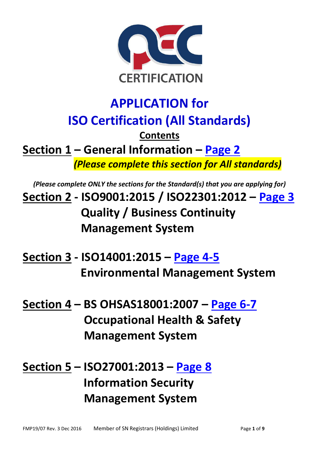

# **APPLICATION for ISO Certification (All Standards) Contents Section 1 – General Information – [Page 2](#page-1-0)**  *(Please complete this section for All standards)*

*(Please complete ONLY the sections for the Standard(s) that you are applying for)*  **Section 2 - ISO9001:2015 / ISO22301:2012 – [Page 3](#page-2-0) Quality / Business Continuity Management System** 

- **Section 3 ISO14001:2015 – [Page 4-](#page-3-0)5 Environmental Management System**
- **Section 4 – BS OHSAS18001:2007 – [Page 6-](#page-5-0)7 Occupational Health & Safety Management System**

**Section 5 – ISO27001:2013 – [Page 8](#page-7-0) Information Security Management System**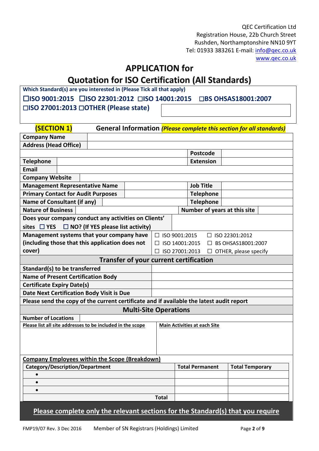QEC Certification Ltd Registration House, 22b Church Street Rushden, Northamptonshire NN10 9YT Tel: 01933 383261 E-mail: [info@qec.co.uk](mailto:info@qec.co.uk) [www.qec.co.uk](http://www.qec.co.uk/)

## **APPLICATION for**

# **Quotation for ISO Certification (All Standards)**

**Which Standard(s) are you interested in (Please Tick all that apply)** 

☐**ISO 9001:2015** ☐**ISO 22301:2012** ☐**ISO 14001:2015** ☐**BS OHSAS18001:2007**  ☐**ISO 27001:2013** ☐**OTHER (Please state)**

<span id="page-1-0"></span>

| <b>(SECTION 1)</b>                                                                       |                 |                |                                     | General Information (Please complete this section for all standards) |
|------------------------------------------------------------------------------------------|-----------------|----------------|-------------------------------------|----------------------------------------------------------------------|
| <b>Company Name</b>                                                                      |                 |                |                                     |                                                                      |
| <b>Address (Head Office)</b>                                                             |                 |                |                                     |                                                                      |
|                                                                                          |                 |                | <b>Postcode</b>                     |                                                                      |
| <b>Telephone</b>                                                                         |                 |                | <b>Extension</b>                    |                                                                      |
| <b>Email</b>                                                                             |                 |                |                                     |                                                                      |
| <b>Company Website</b>                                                                   |                 |                |                                     |                                                                      |
| <b>Management Representative Name</b>                                                    |                 |                | <b>Job Title</b>                    |                                                                      |
| <b>Primary Contact for Audit Purposes</b>                                                |                 |                | <b>Telephone</b>                    |                                                                      |
| <b>Name of Consultant (if any)</b>                                                       |                 |                | <b>Telephone</b>                    |                                                                      |
| <b>Nature of Business</b>                                                                |                 |                | Number of years at this site        |                                                                      |
| Does your company conduct any activities on Clients'                                     |                 |                |                                     |                                                                      |
| $\Box$ NO? (If YES please list activity)<br>sites $\Box$ YES                             |                 |                |                                     |                                                                      |
| Management systems that your company have                                                | □ ISO 9001:2015 |                |                                     | $\Box$ ISO 22301:2012                                                |
| (including those that this application does not                                          |                 | ISO 14001:2015 |                                     | BS OHSAS18001:2007                                                   |
| cover)                                                                                   | $\Box$          | ISO 27001:2013 |                                     | $\Box$ OTHER, please specify                                         |
| <b>Transfer of your current certification</b>                                            |                 |                |                                     |                                                                      |
| Standard(s) to be transferred                                                            |                 |                |                                     |                                                                      |
| <b>Name of Present Certification Body</b>                                                |                 |                |                                     |                                                                      |
| <b>Certificate Expiry Date(s)</b>                                                        |                 |                |                                     |                                                                      |
| <b>Date Next Certification Body Visit is Due</b>                                         |                 |                |                                     |                                                                      |
| Please send the copy of the current certificate and if available the latest audit report |                 |                |                                     |                                                                      |
| <b>Multi-Site Operations</b>                                                             |                 |                |                                     |                                                                      |
| <b>Number of Locations</b>                                                               |                 |                |                                     |                                                                      |
| Please list all site addresses to be included in the scope                               |                 |                | <b>Main Activities at each Site</b> |                                                                      |
|                                                                                          |                 |                |                                     |                                                                      |
|                                                                                          |                 |                |                                     |                                                                      |
|                                                                                          |                 |                |                                     |                                                                      |
| <b>Company Employees within the Scope (Breakdown)</b>                                    |                 |                |                                     |                                                                      |
| <b>Category/Description/Department</b>                                                   |                 |                | <b>Total Permanent</b>              | <b>Total Temporary</b>                                               |
| $\bullet$                                                                                |                 |                |                                     |                                                                      |
| $\bullet$                                                                                |                 |                |                                     |                                                                      |
| $\bullet$                                                                                |                 |                |                                     |                                                                      |
|                                                                                          | <b>Total</b>    |                |                                     |                                                                      |
| Please complete only the relevant sections for the Standard(s) that you require          |                 |                |                                     |                                                                      |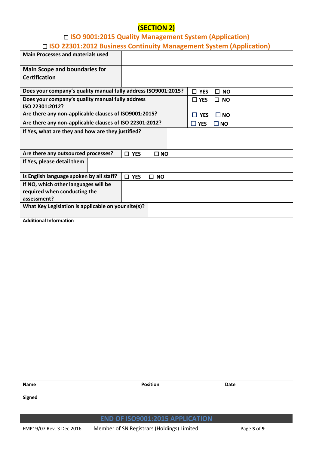<span id="page-2-0"></span>

|                                                                      | (SECTION 2)                     |                                   |  |  |  |  |
|----------------------------------------------------------------------|---------------------------------|-----------------------------------|--|--|--|--|
| □ ISO 9001:2015 Quality Management System (Application)              |                                 |                                   |  |  |  |  |
| □ ISO 22301:2012 Business Continuity Management System (Application) |                                 |                                   |  |  |  |  |
| <b>Main Processes and materials used</b>                             |                                 |                                   |  |  |  |  |
| <b>Main Scope and boundaries for</b>                                 |                                 |                                   |  |  |  |  |
| <b>Certification</b>                                                 |                                 |                                   |  |  |  |  |
| Does your company's quality manual fully address ISO9001:2015?       |                                 | $\Box$ YES<br><b>NO</b><br>$\Box$ |  |  |  |  |
| Does your company's quality manual fully address<br>ISO 22301:2012?  |                                 | $\Box$ YES<br>$\square$ NO        |  |  |  |  |
| Are there any non-applicable clauses of ISO9001:2015?                |                                 | $\square$ NO<br>$\Box$ YES        |  |  |  |  |
| Are there any non-applicable clauses of ISO 22301:2012?              |                                 | $\Box$ YES<br>$\square$ NO        |  |  |  |  |
| If Yes, what are they and how are they justified?                    |                                 |                                   |  |  |  |  |
| Are there any outsourced processes?                                  | $\square$ YES<br>$\square$ NO   |                                   |  |  |  |  |
| If Yes, please detail them                                           |                                 |                                   |  |  |  |  |
| Is English language spoken by all staff?                             | $\square$ YES<br>$\square$ NO   |                                   |  |  |  |  |
| If NO, which other languages will be                                 |                                 |                                   |  |  |  |  |
| required when conducting the<br>assessment?                          |                                 |                                   |  |  |  |  |
| What Key Legislation is applicable on your site(s)?                  |                                 |                                   |  |  |  |  |
| <b>Additional Information</b>                                        |                                 |                                   |  |  |  |  |
|                                                                      |                                 |                                   |  |  |  |  |
|                                                                      |                                 |                                   |  |  |  |  |
|                                                                      |                                 |                                   |  |  |  |  |
|                                                                      |                                 |                                   |  |  |  |  |
|                                                                      |                                 |                                   |  |  |  |  |
|                                                                      |                                 |                                   |  |  |  |  |
|                                                                      |                                 |                                   |  |  |  |  |
|                                                                      |                                 |                                   |  |  |  |  |
|                                                                      |                                 |                                   |  |  |  |  |
|                                                                      |                                 |                                   |  |  |  |  |
|                                                                      |                                 |                                   |  |  |  |  |
|                                                                      |                                 |                                   |  |  |  |  |
|                                                                      |                                 |                                   |  |  |  |  |
|                                                                      |                                 |                                   |  |  |  |  |
|                                                                      |                                 |                                   |  |  |  |  |
|                                                                      |                                 |                                   |  |  |  |  |
| <b>Name</b>                                                          | <b>Position</b>                 | Date                              |  |  |  |  |
|                                                                      |                                 |                                   |  |  |  |  |
| <b>Signed</b>                                                        |                                 |                                   |  |  |  |  |
|                                                                      |                                 |                                   |  |  |  |  |
|                                                                      | END OF ISO9001:2015 APPLICATION |                                   |  |  |  |  |

FMP19/07 Rev. 3 Dec 2016 Member of SN Registrars (Holdings) Limited Page **3** of **9**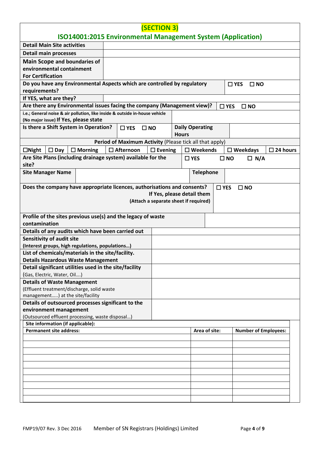<span id="page-3-0"></span>

|                                                                             | <b>(SECTION 3)</b><br><b>ISO14001:2015 Environmental Management System (Application)</b> |                                                         |                                       |              |                        |                  |                    |              |                             |  |
|-----------------------------------------------------------------------------|------------------------------------------------------------------------------------------|---------------------------------------------------------|---------------------------------------|--------------|------------------------|------------------|--------------------|--------------|-----------------------------|--|
|                                                                             |                                                                                          |                                                         |                                       |              |                        |                  |                    |              |                             |  |
| <b>Detail Main Site activities</b>                                          |                                                                                          |                                                         |                                       |              |                        |                  |                    |              |                             |  |
| <b>Detail main processes</b>                                                |                                                                                          |                                                         |                                       |              |                        |                  |                    |              |                             |  |
| <b>Main Scope and boundaries of</b>                                         |                                                                                          |                                                         |                                       |              |                        |                  |                    |              |                             |  |
| environmental containment                                                   |                                                                                          |                                                         |                                       |              |                        |                  |                    |              |                             |  |
| <b>For Certification</b>                                                    |                                                                                          |                                                         |                                       |              |                        |                  |                    |              |                             |  |
| Do you have any Environmental Aspects which are controlled by regulatory    |                                                                                          |                                                         |                                       |              |                        |                  | $\square$ YES      | $\square$ NO |                             |  |
| requirements?                                                               |                                                                                          |                                                         |                                       |              |                        |                  |                    |              |                             |  |
| If YES, what are they?                                                      |                                                                                          |                                                         |                                       |              |                        |                  |                    |              |                             |  |
| Are there any Environmental issues facing the company (Management view)?    |                                                                                          |                                                         |                                       |              |                        |                  | $\square$ YES      | $\square$ NO |                             |  |
| i.e.; General noise & air pollution, like inside & outside in-house vehicle |                                                                                          |                                                         |                                       |              |                        |                  |                    |              |                             |  |
| (No major issue) If Yes, please state                                       |                                                                                          |                                                         |                                       |              |                        |                  |                    |              |                             |  |
| Is there a Shift System in Operation?                                       |                                                                                          | $\square$ YES<br>$\square$ NO                           |                                       | <b>Hours</b> | <b>Daily Operating</b> |                  |                    |              |                             |  |
|                                                                             |                                                                                          | Period of Maximum Activity (Please tick all that apply) |                                       |              |                        |                  |                    |              |                             |  |
|                                                                             |                                                                                          |                                                         |                                       |              |                        |                  |                    |              |                             |  |
| $\Box$ Night<br>$\square$ Day                                               | $\Box$ Morning                                                                           | $\Box$ Afternoon                                        | $\square$ Evening                     |              | $\square$ Weekends     |                  | $\square$ Weekdays |              | $\square$ 24 hours          |  |
| Are Site Plans (including drainage system) available for the<br>site?       |                                                                                          |                                                         |                                       |              | $\Box$ YES             |                  | $\square$ NO       | $\Box$ N/A   |                             |  |
| <b>Site Manager Name</b>                                                    |                                                                                          |                                                         |                                       |              |                        | <b>Telephone</b> |                    |              |                             |  |
|                                                                             |                                                                                          |                                                         |                                       |              |                        |                  |                    |              |                             |  |
| Does the company have appropriate licences, authorisations and consents?    |                                                                                          |                                                         |                                       |              |                        | $\square$ YES    | $\square$ NO       |              |                             |  |
|                                                                             |                                                                                          |                                                         | If Yes, please detail them            |              |                        |                  |                    |              |                             |  |
|                                                                             |                                                                                          |                                                         | (Attach a separate sheet if required) |              |                        |                  |                    |              |                             |  |
|                                                                             |                                                                                          |                                                         |                                       |              |                        |                  |                    |              |                             |  |
| Profile of the sites previous use(s) and the legacy of waste                |                                                                                          |                                                         |                                       |              |                        |                  |                    |              |                             |  |
| contamination                                                               |                                                                                          |                                                         |                                       |              |                        |                  |                    |              |                             |  |
| Details of any audits which have been carried out                           |                                                                                          |                                                         |                                       |              |                        |                  |                    |              |                             |  |
| <b>Sensitivity of audit site</b>                                            |                                                                                          |                                                         |                                       |              |                        |                  |                    |              |                             |  |
| (Interest groups, high regulations, populations)                            |                                                                                          |                                                         |                                       |              |                        |                  |                    |              |                             |  |
| List of chemicals/materials in the site/facility.                           |                                                                                          |                                                         |                                       |              |                        |                  |                    |              |                             |  |
| <b>Details Hazardous Waste Management</b>                                   |                                                                                          |                                                         |                                       |              |                        |                  |                    |              |                             |  |
| Detail significant utilities used in the site/facility                      |                                                                                          |                                                         |                                       |              |                        |                  |                    |              |                             |  |
| (Gas, Electric, Water, Oil)                                                 |                                                                                          |                                                         |                                       |              |                        |                  |                    |              |                             |  |
| <b>Details of Waste Management</b>                                          |                                                                                          |                                                         |                                       |              |                        |                  |                    |              |                             |  |
| (Effluent treatment/discharge, solid waste                                  |                                                                                          |                                                         |                                       |              |                        |                  |                    |              |                             |  |
| management) at the site/facility                                            |                                                                                          |                                                         |                                       |              |                        |                  |                    |              |                             |  |
| Details of outsourced processes significant to the                          |                                                                                          |                                                         |                                       |              |                        |                  |                    |              |                             |  |
| environment management<br>(Outsourced effluent processing, waste disposal)  |                                                                                          |                                                         |                                       |              |                        |                  |                    |              |                             |  |
| Site information (if applicable):                                           |                                                                                          |                                                         |                                       |              |                        |                  |                    |              |                             |  |
| <b>Permanent site address:</b>                                              |                                                                                          |                                                         |                                       |              |                        | Area of site:    |                    |              | <b>Number of Employees:</b> |  |
|                                                                             |                                                                                          |                                                         |                                       |              |                        |                  |                    |              |                             |  |
|                                                                             |                                                                                          |                                                         |                                       |              |                        |                  |                    |              |                             |  |
|                                                                             |                                                                                          |                                                         |                                       |              |                        |                  |                    |              |                             |  |
|                                                                             |                                                                                          |                                                         |                                       |              |                        |                  |                    |              |                             |  |
|                                                                             |                                                                                          |                                                         |                                       |              |                        |                  |                    |              |                             |  |
|                                                                             |                                                                                          |                                                         |                                       |              |                        |                  |                    |              |                             |  |
|                                                                             |                                                                                          |                                                         |                                       |              |                        |                  |                    |              |                             |  |
|                                                                             |                                                                                          |                                                         |                                       |              |                        |                  |                    |              |                             |  |
|                                                                             |                                                                                          |                                                         |                                       |              |                        |                  |                    |              |                             |  |
|                                                                             |                                                                                          |                                                         |                                       |              |                        |                  |                    |              |                             |  |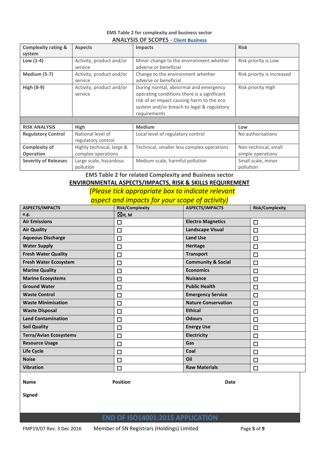#### **EMS Table 2 for complexity and business sector ANALYSIS OF SCOPES - Client Business**

| <b>Complexity rating &amp;</b> | <b>Aspects</b>            | Impacts                                     | <b>Risk</b>                |
|--------------------------------|---------------------------|---------------------------------------------|----------------------------|
| system                         |                           |                                             |                            |
| Low $(1-4)$                    | Activity, product and/or  | Minor change to the environment whether     | Risk priority is Low       |
|                                | service                   | adverse or beneficial                       |                            |
| Medium (5-7)                   | Activity, product and/or  | Change to the environment whether           | Risk priority is increased |
|                                | service                   | adverse or beneficial                       |                            |
| <b>High (8-9)</b>              | Activity, product and/or  | During normal, abnormal and emergency       | Risk priority High         |
|                                | service                   | operating conditions there is a significant |                            |
|                                |                           | risk of an impact causing harm to the eco   |                            |
|                                |                           | system and/or breach to legal & regulatory  |                            |
|                                |                           | requirements                                |                            |
|                                |                           |                                             |                            |
| <b>RISK ANALYSIS</b>           | High                      | <b>Medium</b>                               | Low                        |
| <b>Regulatory Control</b>      | National level of         | Local level of regulatory control           | No authorisations          |
|                                | regulatory control        |                                             |                            |
| <b>Complexity of</b>           | Highly technical, large & | Technical, smaller less complex operations  | Non-technical, small       |
| <b>Operation</b>               | complex operations        |                                             | simple operations          |
| <b>Severity of Releases</b>    | Large scale, hazardous    | Medium scale, harmful pollution             | Small scale, minor         |
|                                | pollution                 |                                             | pollution                  |

**EMS Table 2 for related Complexity and Business sector** 

# **ENVIRONMENTAL ASPECTS/IMPACTS, RISK & SKILLS REQUIREMENT**

 *(Please tick appropriate box to indicate relevant* 

*aspect and impacts for your scope of activity)* 

| <b>ASPECTS/IMPACTS</b>        | <b>Risk/Complexity</b> | <b>ASPECTS/IMPACTS</b>        | <b>Risk/Complexity</b> |
|-------------------------------|------------------------|-------------------------------|------------------------|
| e.g.                          | ⊠н, м                  |                               |                        |
| <b>Air Emissions</b>          | □                      | <b>Electro Magnetics</b>      | □                      |
| <b>Air Quality</b>            | $\Box$                 | <b>Landscape Visual</b>       | $\Box$                 |
| <b>Aqueous Discharge</b>      | $\Box$                 | <b>Land Use</b>               | □                      |
| <b>Water Supply</b>           | □                      | <b>Heritage</b>               | □                      |
| <b>Fresh Water Quality</b>    | □                      | <b>Transport</b>              | □                      |
| <b>Fresh Water Ecosystem</b>  | $\Box$                 | <b>Community &amp; Social</b> | $\Box$                 |
| <b>Marine Quality</b>         | □                      | <b>Economics</b>              | $\Box$                 |
| <b>Marine Ecosystems</b>      | □                      | <b>Nuisance</b>               | □                      |
| <b>Ground Water</b>           | $\Box$                 | <b>Public Health</b>          | $\Box$                 |
| <b>Waste Control</b>          | □                      | <b>Emergency Service</b>      | $\Box$                 |
| <b>Waste Minimisation</b>     | □                      | <b>Nature Conservation</b>    | $\Box$                 |
| <b>Waste Disposal</b>         | □                      | <b>Ethical</b>                | □                      |
| <b>Land Contamination</b>     | $\Box$                 | <b>Odours</b>                 | $\Box$                 |
| <b>Soil Quality</b>           | $\Box$                 | <b>Energy Use</b>             | $\Box$                 |
| <b>Terra/Avian Ecosystems</b> | □                      | <b>Electricity</b>            | □                      |
| <b>Resource Usage</b>         | □                      | Gas                           | □                      |
| Life Cycle                    | $\Box$                 | Coal                          | $\Box$                 |
| <b>Noise</b>                  | □                      | Oil                           | $\Box$                 |
| <b>Vibration</b>              | $\Box$                 | <b>Raw Materials</b>          | □                      |

**Name Community Community Position Community Position Community Community Community Community Community Community** 

**Signed** 

**END OF ISO14001:2015 APPLICATION**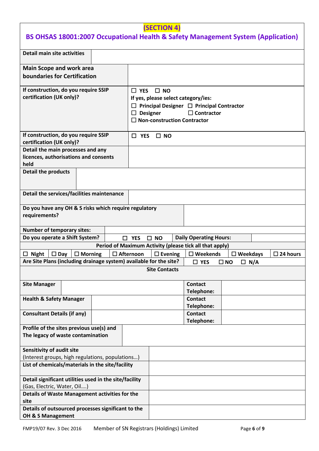### **(SECTION 4)**

## <span id="page-5-0"></span>**BS OHSAS 18001:2007 Occupational Health & Safety Management System (Application)**

| <b>Detail main site activities</b>                                    |  |               |                                     |                                                                     |                            |                    |
|-----------------------------------------------------------------------|--|---------------|-------------------------------------|---------------------------------------------------------------------|----------------------------|--------------------|
| <b>Main Scope and work area</b>                                       |  |               |                                     |                                                                     |                            |                    |
| boundaries for Certification                                          |  |               |                                     |                                                                     |                            |                    |
|                                                                       |  |               |                                     |                                                                     |                            |                    |
| If construction, do you require SSIP                                  |  | $\Box$ YES    | $\square$ NO                        |                                                                     |                            |                    |
| certification (UK only)?                                              |  |               | If yes, please select category/ies: |                                                                     |                            |                    |
|                                                                       |  |               |                                     |                                                                     |                            |                    |
|                                                                       |  |               |                                     | Principal Designer $\Box$ Principal Contractor<br>$\Box$ Contractor |                            |                    |
|                                                                       |  | $\Box$        | <b>Designer</b>                     |                                                                     |                            |                    |
|                                                                       |  |               | <b>Non-construction Contractor</b>  |                                                                     |                            |                    |
|                                                                       |  |               |                                     |                                                                     |                            |                    |
| If construction, do you require SSIP                                  |  | $\Box$ YES    | $\Box$ NO                           |                                                                     |                            |                    |
| certification (UK only)?                                              |  |               |                                     |                                                                     |                            |                    |
| Detail the main processes and any                                     |  |               |                                     |                                                                     |                            |                    |
| licences, authorisations and consents                                 |  |               |                                     |                                                                     |                            |                    |
| held                                                                  |  |               |                                     |                                                                     |                            |                    |
| <b>Detail the products</b>                                            |  |               |                                     |                                                                     |                            |                    |
|                                                                       |  |               |                                     |                                                                     |                            |                    |
|                                                                       |  |               |                                     |                                                                     |                            |                    |
| Detail the services/facilities maintenance                            |  |               |                                     |                                                                     |                            |                    |
| Do you have any OH & S risks which require regulatory                 |  |               |                                     |                                                                     |                            |                    |
| requirements?                                                         |  |               |                                     |                                                                     |                            |                    |
|                                                                       |  |               |                                     |                                                                     |                            |                    |
| <b>Number of temporary sites:</b>                                     |  |               |                                     |                                                                     |                            |                    |
| Do you operate a Shift System?                                        |  | $\square$ YES | $\square$ NO                        | <b>Daily Operating Hours:</b>                                       |                            |                    |
|                                                                       |  |               |                                     | Period of Maximum Activity (please tick all that apply)             |                            |                    |
| $\Box$ Afternoon<br>$\Box$ Day<br>$\Box$ Morning<br><b>Night</b><br>□ |  |               | $\square$ Evening                   | $\square$ Weekends                                                  | $\square$ Weekdays         | $\square$ 24 hours |
| Are Site Plans (including drainage system) available for the site?    |  |               |                                     | $\Box$ YES                                                          | $\square$ NO<br>$\Box$ N/A |                    |
|                                                                       |  |               | <b>Site Contacts</b>                |                                                                     |                            |                    |
|                                                                       |  |               |                                     |                                                                     |                            |                    |
| <b>Site Manager</b>                                                   |  |               |                                     | <b>Contact</b>                                                      |                            |                    |
|                                                                       |  |               |                                     | Telephone:                                                          |                            |                    |
| <b>Health &amp; Safety Manager</b>                                    |  |               |                                     | <b>Contact</b>                                                      |                            |                    |
|                                                                       |  |               |                                     | Telephone:                                                          |                            |                    |
| <b>Consultant Details (if any)</b>                                    |  |               |                                     | <b>Contact</b>                                                      |                            |                    |
|                                                                       |  |               |                                     | Telephone:                                                          |                            |                    |
| Profile of the sites previous use(s) and                              |  |               |                                     |                                                                     |                            |                    |
| The legacy of waste contamination                                     |  |               |                                     |                                                                     |                            |                    |
|                                                                       |  |               |                                     |                                                                     |                            |                    |
| <b>Sensitivity of audit site</b>                                      |  |               |                                     |                                                                     |                            |                    |
| (Interest groups, high regulations, populations)                      |  |               |                                     |                                                                     |                            |                    |
| List of chemicals/materials in the site/facility                      |  |               |                                     |                                                                     |                            |                    |
|                                                                       |  |               |                                     |                                                                     |                            |                    |
| Detail significant utilities used in the site/facility                |  |               |                                     |                                                                     |                            |                    |
| (Gas, Electric, Water, Oil)                                           |  |               |                                     |                                                                     |                            |                    |
| Details of Waste Management activities for the                        |  |               |                                     |                                                                     |                            |                    |
| site                                                                  |  |               |                                     |                                                                     |                            |                    |
| Details of outsourced processes significant to the                    |  |               |                                     |                                                                     |                            |                    |
| OH & S Management                                                     |  |               |                                     |                                                                     |                            |                    |
|                                                                       |  |               |                                     |                                                                     |                            |                    |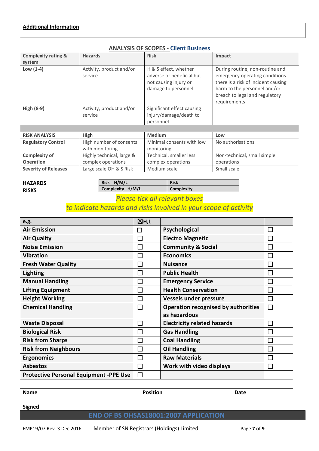#### **Additional Information**

| <b>Complexity rating &amp;</b> | <b>Hazards</b>                             | <b>Risk</b>                                                                                        | Impact                                                                                                                                                                                     |
|--------------------------------|--------------------------------------------|----------------------------------------------------------------------------------------------------|--------------------------------------------------------------------------------------------------------------------------------------------------------------------------------------------|
| system                         |                                            |                                                                                                    |                                                                                                                                                                                            |
| Low $(1-4)$                    | Activity, product and/or<br>service        | H & S effect, whether<br>adverse or beneficial but<br>not causing injury or<br>damage to personnel | During routine, non-routine and<br>emergency operating conditions<br>there is a risk of incident causing<br>harm to the personnel and/or<br>breach to legal and regulatory<br>requirements |
| <b>High (8-9)</b>              | Activity, product and/or<br>service        | Significant effect causing<br>injury/damage/death to<br>personnel                                  |                                                                                                                                                                                            |
|                                |                                            |                                                                                                    |                                                                                                                                                                                            |
| <b>RISK ANALYSIS</b>           | High                                       | <b>Medium</b>                                                                                      | Low                                                                                                                                                                                        |
| <b>Regulatory Control</b>      | High number of consents<br>with monitoring | Minimal consents with low<br>monitoring                                                            | No authorisations                                                                                                                                                                          |
| <b>Complexity of</b>           | Highly technical, large &                  | Technical, smaller less                                                                            | Non-technical, small simple                                                                                                                                                                |
| <b>Operation</b>               | complex operations                         | complex operations                                                                                 | operations                                                                                                                                                                                 |
| <b>Severity of Releases</b>    | Large scale OH & S Risk                    | Medium scale                                                                                       | Small scale                                                                                                                                                                                |

#### **ANALYSIS OF SCOPES - Client Business**

#### **HAZARDS RISKS**

Risk H/M/L Risk **Complexity H/M/L Complexity** 

### *Please tick all relevant boxes*

### *to indicate hazards and risks involved in your scope of activity*

| e.g.                                          | ⊠н,∟            |                                            |              |
|-----------------------------------------------|-----------------|--------------------------------------------|--------------|
| <b>Air Emission</b>                           | □               | Psychological                              |              |
| <b>Air Quality</b>                            | П               | <b>Electro Magnetic</b>                    |              |
| <b>Noise Emission</b>                         | П               | <b>Community &amp; Social</b>              |              |
| <b>Vibration</b>                              |                 | <b>Economics</b>                           | $\mathbf{I}$ |
| <b>Fresh Water Quality</b>                    | $\Box$          | <b>Nuisance</b>                            | П            |
| <b>Lighting</b>                               |                 | <b>Public Health</b>                       | Г            |
| <b>Manual Handling</b>                        | Г               | <b>Emergency Service</b>                   | $\Box$       |
| <b>Lifting Equipment</b>                      |                 | <b>Health Conservation</b>                 |              |
| <b>Height Working</b>                         | П               | <b>Vessels under pressure</b>              | П            |
| <b>Chemical Handling</b>                      | П               | <b>Operation recognised by authorities</b> | П            |
|                                               |                 | as hazardous                               |              |
| <b>Waste Disposal</b>                         | $\mathsf{L}$    | <b>Electricity related hazards</b>         |              |
| <b>Biological Risk</b>                        | П               | <b>Gas Handling</b>                        |              |
| <b>Risk from Sharps</b>                       | П               | <b>Coal Handling</b>                       |              |
| <b>Risk from Neighbours</b>                   |                 | <b>Oil Handling</b>                        |              |
| <b>Ergonomics</b>                             | <b>COL</b>      | <b>Raw Materials</b>                       | П            |
| <b>Asbestos</b>                               |                 | Work with video displays                   |              |
| <b>Protective Personal Equipment -PPE Use</b> | П               |                                            |              |
|                                               |                 |                                            |              |
| <b>Name</b>                                   | <b>Position</b> | Date                                       |              |

**Signed** 

#### **END OF BS OHSAS18001:2007 APPLICATION**